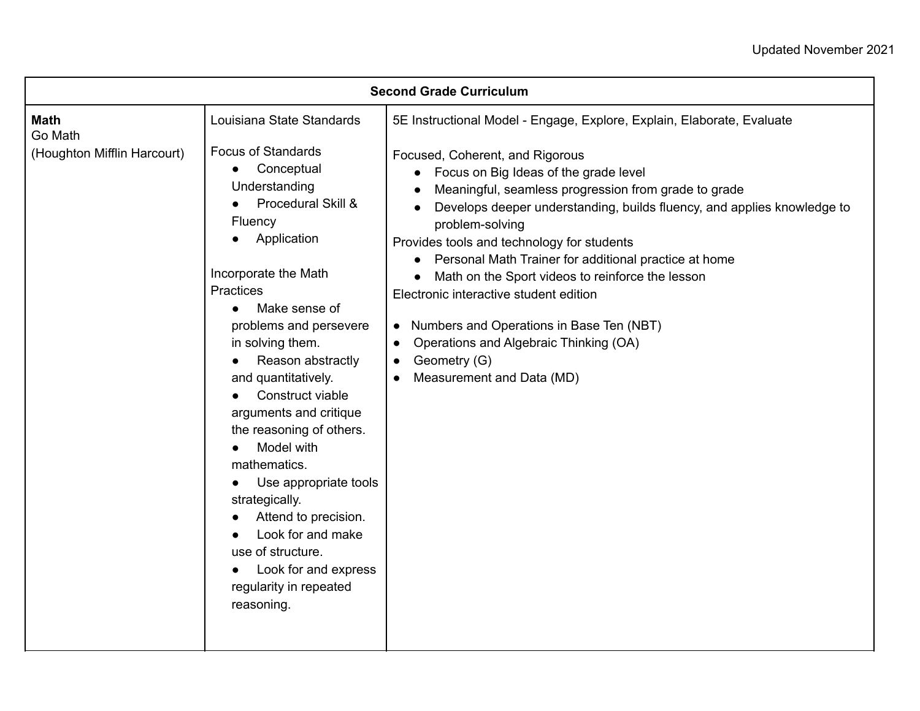| <b>Second Grade Curriculum</b>                        |                                                                                                                                                                                                                                                                                                                                                                                                                                                                                                                                                                                         |                                                                                                                                                                                                                                                                                                                                                                                                                                                                                                                                                                                                                                                                                                                   |  |  |
|-------------------------------------------------------|-----------------------------------------------------------------------------------------------------------------------------------------------------------------------------------------------------------------------------------------------------------------------------------------------------------------------------------------------------------------------------------------------------------------------------------------------------------------------------------------------------------------------------------------------------------------------------------------|-------------------------------------------------------------------------------------------------------------------------------------------------------------------------------------------------------------------------------------------------------------------------------------------------------------------------------------------------------------------------------------------------------------------------------------------------------------------------------------------------------------------------------------------------------------------------------------------------------------------------------------------------------------------------------------------------------------------|--|--|
| <b>Math</b><br>Go Math<br>(Houghton Mifflin Harcourt) | Louisiana State Standards<br><b>Focus of Standards</b><br>Conceptual<br>$\bullet$<br>Understanding<br>Procedural Skill &<br>Fluency<br>Application<br>Incorporate the Math<br>Practices<br>Make sense of<br>problems and persevere<br>in solving them.<br>Reason abstractly<br>and quantitatively.<br>Construct viable<br>arguments and critique<br>the reasoning of others.<br>Model with<br>mathematics.<br>Use appropriate tools<br>strategically.<br>Attend to precision.<br>Look for and make<br>use of structure.<br>Look for and express<br>regularity in repeated<br>reasoning. | 5E Instructional Model - Engage, Explore, Explain, Elaborate, Evaluate<br>Focused, Coherent, and Rigorous<br>Focus on Big Ideas of the grade level<br>Meaningful, seamless progression from grade to grade<br>Develops deeper understanding, builds fluency, and applies knowledge to<br>problem-solving<br>Provides tools and technology for students<br>Personal Math Trainer for additional practice at home<br>$\bullet$<br>Math on the Sport videos to reinforce the lesson<br>Electronic interactive student edition<br>Numbers and Operations in Base Ten (NBT)<br>$\bullet$<br>Operations and Algebraic Thinking (OA)<br>$\bullet$<br>Geometry (G)<br>$\bullet$<br>Measurement and Data (MD)<br>$\bullet$ |  |  |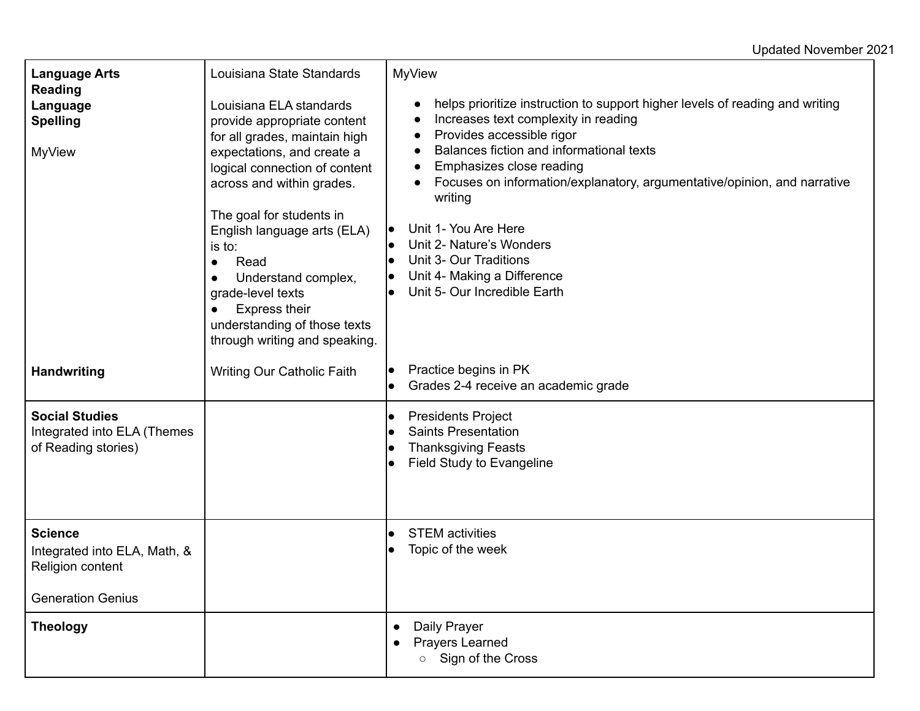## Updated November 2021

| <b>Language Arts</b>                                                                           | Louisiana State Standards                                                                                                                                                                                                                                                                                                                                                                                          | <b>MyView</b>                                                                                                                                                                                                                                                                                                                                                                                                                                                                                                                                            |
|------------------------------------------------------------------------------------------------|--------------------------------------------------------------------------------------------------------------------------------------------------------------------------------------------------------------------------------------------------------------------------------------------------------------------------------------------------------------------------------------------------------------------|----------------------------------------------------------------------------------------------------------------------------------------------------------------------------------------------------------------------------------------------------------------------------------------------------------------------------------------------------------------------------------------------------------------------------------------------------------------------------------------------------------------------------------------------------------|
| <b>Reading</b><br>Language<br><b>Spelling</b><br><b>MyView</b>                                 | Louisiana ELA standards<br>provide appropriate content<br>for all grades, maintain high<br>expectations, and create a<br>logical connection of content<br>across and within grades.<br>The goal for students in<br>English language arts (ELA)<br>is to:<br>Read<br>$\bullet$<br>Understand complex,<br>grade-level texts<br><b>Express their</b><br>understanding of those texts<br>through writing and speaking. | helps prioritize instruction to support higher levels of reading and writing<br>$\bullet$<br>Increases text complexity in reading<br>$\bullet$<br>Provides accessible rigor<br>$\bullet$<br>Balances fiction and informational texts<br>$\bullet$<br>Emphasizes close reading<br>$\bullet$<br>Focuses on information/explanatory, argumentative/opinion, and narrative<br>$\bullet$<br>writing<br>Unit 1- You Are Here<br>Unit 2- Nature's Wonders<br>Unit 3- Our Traditions<br>Unit 4- Making a Difference<br>$\bullet$<br>Unit 5- Our Incredible Earth |
| <b>Handwriting</b>                                                                             | <b>Writing Our Catholic Faith</b>                                                                                                                                                                                                                                                                                                                                                                                  | Practice begins in PK<br>$\bullet$<br>Grades 2-4 receive an academic grade                                                                                                                                                                                                                                                                                                                                                                                                                                                                               |
| <b>Social Studies</b><br>Integrated into ELA (Themes<br>of Reading stories)                    |                                                                                                                                                                                                                                                                                                                                                                                                                    | <b>Presidents Project</b><br>$\bullet$<br><b>Saints Presentation</b><br><b>Thanksgiving Feasts</b><br>Field Study to Evangeline                                                                                                                                                                                                                                                                                                                                                                                                                          |
| <b>Science</b><br>Integrated into ELA, Math, &<br>Religion content<br><b>Generation Genius</b> |                                                                                                                                                                                                                                                                                                                                                                                                                    | <b>STEM</b> activities<br>$\bullet$<br>Topic of the week                                                                                                                                                                                                                                                                                                                                                                                                                                                                                                 |
| <b>Theology</b>                                                                                |                                                                                                                                                                                                                                                                                                                                                                                                                    | Daily Prayer<br>$\bullet$<br><b>Prayers Learned</b><br>$\bullet$<br>Sign of the Cross<br>$\circ$                                                                                                                                                                                                                                                                                                                                                                                                                                                         |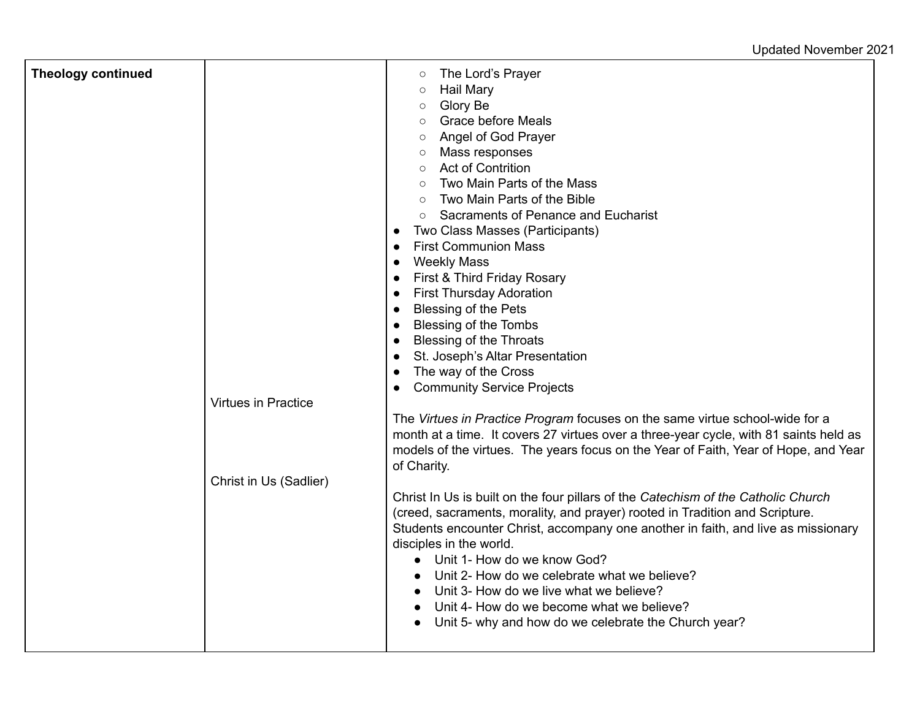Updated November 2021

| <b>Theology continued</b> | Virtues in Practice    | The Lord's Prayer<br>$\circ$<br><b>Hail Mary</b><br>$\circ$<br>Glory Be<br>$\circ$<br><b>Grace before Meals</b><br>$\circ$<br>Angel of God Prayer<br>$\circ$<br>Mass responses<br>$\circ$<br><b>Act of Contrition</b><br>$\circ$<br>Two Main Parts of the Mass<br>$\circ$<br>Two Main Parts of the Bible<br>$\circ$<br><b>Sacraments of Penance and Eucharist</b><br>$\circ$<br>Two Class Masses (Participants)<br>$\bullet$<br><b>First Communion Mass</b><br>$\bullet$<br><b>Weekly Mass</b><br>$\bullet$<br>First & Third Friday Rosary<br>$\bullet$<br><b>First Thursday Adoration</b><br>$\bullet$<br><b>Blessing of the Pets</b><br>$\bullet$<br>Blessing of the Tombs<br>$\bullet$<br><b>Blessing of the Throats</b><br>$\bullet$<br>St. Joseph's Altar Presentation<br>$\bullet$<br>The way of the Cross<br>$\bullet$<br><b>Community Service Projects</b> |
|---------------------------|------------------------|--------------------------------------------------------------------------------------------------------------------------------------------------------------------------------------------------------------------------------------------------------------------------------------------------------------------------------------------------------------------------------------------------------------------------------------------------------------------------------------------------------------------------------------------------------------------------------------------------------------------------------------------------------------------------------------------------------------------------------------------------------------------------------------------------------------------------------------------------------------------|
|                           |                        | The Virtues in Practice Program focuses on the same virtue school-wide for a<br>month at a time. It covers 27 virtues over a three-year cycle, with 81 saints held as<br>models of the virtues. The years focus on the Year of Faith, Year of Hope, and Year<br>of Charity.                                                                                                                                                                                                                                                                                                                                                                                                                                                                                                                                                                                        |
|                           | Christ in Us (Sadlier) | Christ In Us is built on the four pillars of the Catechism of the Catholic Church<br>(creed, sacraments, morality, and prayer) rooted in Tradition and Scripture.<br>Students encounter Christ, accompany one another in faith, and live as missionary<br>disciples in the world.<br>• Unit 1- How do we know God?<br>Unit 2- How do we celebrate what we believe?<br>Unit 3- How do we live what we believe?<br>Unit 4- How do we become what we believe?<br>Unit 5- why and how do we celebrate the Church year?                                                                                                                                                                                                                                                                                                                                                 |